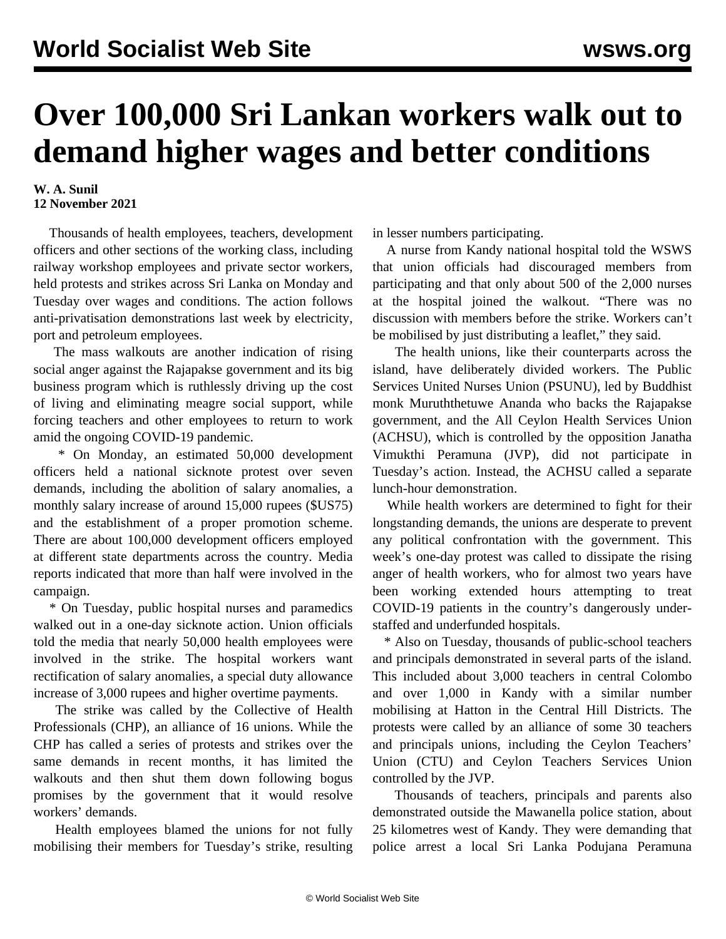## **Over 100,000 Sri Lankan workers walk out to demand higher wages and better conditions**

## **W. A. Sunil 12 November 2021**

 Thousands of health employees, teachers, development officers and other sections of the working class, including railway workshop employees and private sector workers, held protests and strikes across Sri Lanka on Monday and Tuesday over wages and conditions. The action follows anti-privatisation demonstrations last week by [electricity,](/en/articles/2021/11/06/seps-n06.html) [port and petroleum employees.](/en/articles/2021/11/06/seps-n06.html)

 The mass walkouts are another indication of rising social anger against the Rajapakse government and its big business program which is ruthlessly driving up the cost of living and eliminating meagre social support, while forcing teachers and other employees to return to work amid the ongoing COVID-19 pandemic.

 \* On Monday, an estimated 50,000 development officers held a national sicknote protest over seven demands, including the abolition of salary anomalies, a monthly salary increase of around 15,000 rupees (\$US75) and the establishment of a proper promotion scheme. There are about 100,000 development officers employed at different state departments across the country. Media reports indicated that more than half were involved in the campaign.

 \* On Tuesday, public hospital nurses and paramedics walked out in a one-day sicknote action. Union officials told the media that nearly 50,000 health employees were involved in the strike. The hospital workers want rectification of salary anomalies, a special duty allowance increase of 3,000 rupees and higher overtime payments.

 The strike was called by the Collective of Health Professionals (CHP), an alliance of 16 unions. While the CHP has called a series of protests and strikes over the same demands in recent months, it has limited the walkouts and then shut them down following bogus promises by the government that it would resolve workers' demands.

 Health employees blamed the unions for not fully mobilising their members for Tuesday's strike, resulting in lesser numbers participating.

 A nurse from Kandy national hospital told the WSWS that union officials had discouraged members from participating and that only about 500 of the 2,000 nurses at the hospital joined the walkout. "There was no discussion with members before the strike. Workers can't be mobilised by just distributing a leaflet," they said.

 The health unions, like their counterparts across the island, have deliberately divided workers. The Public Services United Nurses Union (PSUNU), led by Buddhist monk Muruththetuwe Ananda who backs the Rajapakse government, and the All Ceylon Health Services Union (ACHSU), which is controlled by the opposition Janatha Vimukthi Peramuna (JVP), did not participate in Tuesday's action. Instead, the ACHSU called a separate lunch-hour demonstration.

 While health workers are determined to fight for their longstanding demands, the unions are desperate to prevent any political confrontation with the government. This week's one-day protest was called to dissipate the rising anger of health workers, who for almost two years have been working extended hours attempting to treat COVID-19 patients in the country's dangerously understaffed and underfunded hospitals.

 \* Also on Tuesday, thousands of public-school teachers and principals demonstrated in several parts of the island. This included about 3,000 teachers in central Colombo and over 1,000 in Kandy with a similar number mobilising at Hatton in the Central Hill Districts. The protests were called by an alliance of some 30 teachers and principals unions, including the Ceylon Teachers' Union (CTU) and Ceylon Teachers Services Union controlled by the JVP.

 Thousands of teachers, principals and parents also demonstrated outside the Mawanella police station, about 25 kilometres west of Kandy. They were demanding that police arrest a local Sri Lanka Podujana Peramuna